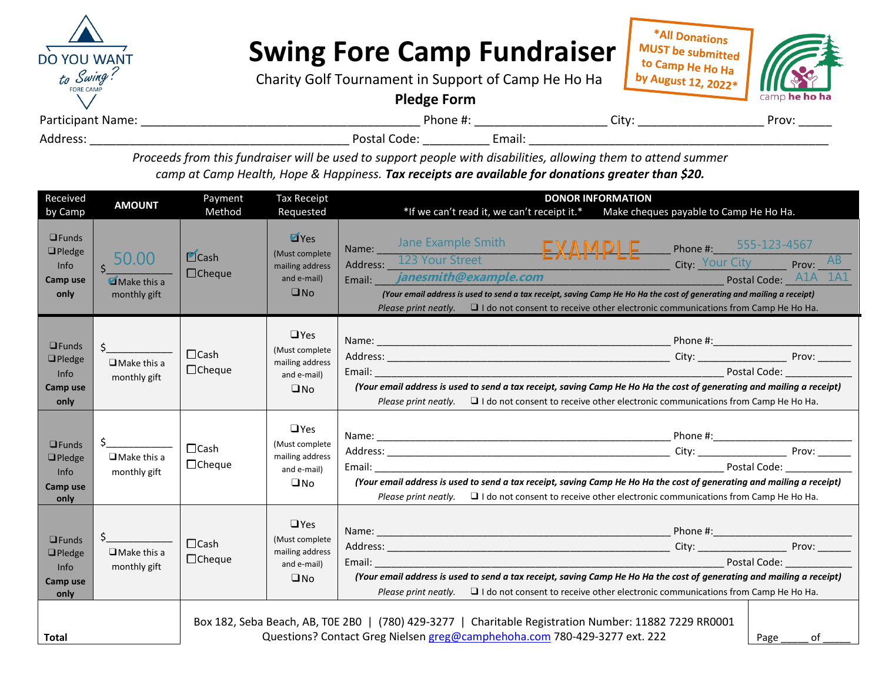

## **Swing Fore Camp Fundraiser**

Charity Golf Tournament in Support of Camp He Ho Ha **Pledge Form**

**\*All Donations MUST** be submitted to Camp He Ho Ha by August 12, 2022 $*$ 



Participant Name: \_\_\_\_\_\_\_\_\_\_\_\_\_\_\_\_\_\_\_\_\_\_\_\_\_\_\_\_\_\_\_\_\_\_\_\_\_\_\_\_\_\_ Phone #: \_\_\_\_\_\_\_\_\_\_\_\_\_\_\_\_\_\_\_\_ City: \_\_\_\_\_\_\_\_\_\_\_\_\_\_\_\_\_\_\_ Prov: \_\_\_\_\_

Address: \_\_\_\_\_\_\_\_\_\_\_\_\_\_\_\_\_\_\_\_\_\_\_\_\_\_\_\_\_\_\_\_\_\_\_\_\_\_\_ Postal Code: \_\_\_\_\_\_\_\_\_\_ Email: \_\_\_\_\_\_\_\_\_\_\_\_\_\_\_\_\_\_\_\_\_\_\_\_\_\_\_\_\_\_\_\_\_\_\_\_\_\_\_\_\_\_\_\_\_

*Proceeds from this fundraiser will be used to support people with disabilities, allowing them to attend summer camp at Camp Health, Hope & Happiness. Tax receipts are available for donations greater than \$20.*

| Received                                                      | <b>AMOUNT</b>                                      | Payment                                                                                                                                                                                          | <b>Tax Receipt</b>                                                             | <b>DONOR INFORMATION</b>                                                                                                                                                                                                                                                                                                                                                                                                  |  |
|---------------------------------------------------------------|----------------------------------------------------|--------------------------------------------------------------------------------------------------------------------------------------------------------------------------------------------------|--------------------------------------------------------------------------------|---------------------------------------------------------------------------------------------------------------------------------------------------------------------------------------------------------------------------------------------------------------------------------------------------------------------------------------------------------------------------------------------------------------------------|--|
| by Camp                                                       |                                                    | Method                                                                                                                                                                                           | Requested                                                                      | *If we can't read it, we can't receipt it.*<br>Make cheques payable to Camp He Ho Ha.                                                                                                                                                                                                                                                                                                                                     |  |
| $\Box$ Funds<br>$\Box$ Pledge<br>Info<br>Camp use<br>only     | 50.00<br>Make this a<br>monthly gift               | Cash<br>$\Box$ Cheque                                                                                                                                                                            | <b>Z</b> Yes<br>(Must complete<br>mailing address<br>and e-mail)<br>$\n  Q No$ | Name: Jane Example Smith <b>EXAMPLE</b> Phone #: 555-123-4567<br>Address: 123 Your Street City: Your City Prov. AB<br>Email: <i>janesmith@example.com</i> Postal Code: A1A 1A1<br>(Your email address is used to send a tax receipt, saving Camp He Ho Ha the cost of generating and mailing a receipt)<br>$\Box$ I do not consent to receive other electronic communications from Camp He Ho Ha.<br>Please print neatly. |  |
| $\Box$ Funds<br><b>O</b> Pledge<br>Info<br>Camp use<br>only   | $\mathsf{S}$<br>$\Box$ Make this a<br>monthly gift | $\Box$ Cash<br>$\Box$ Cheque                                                                                                                                                                     | $\Box$ Yes<br>(Must complete<br>mailing address<br>and e-mail)<br>$\square$ No | (Your email address is used to send a tax receipt, saving Camp He Ho Ha the cost of generating and mailing a receipt)<br>$\Box$ I do not consent to receive other electronic communications from Camp He Ho Ha.<br>Please print neatly.                                                                                                                                                                                   |  |
| $Q$ Funds<br>$\Box$ Pledge<br><b>Info</b><br>Camp use<br>only | $\Box$ Make this a<br>monthly gift                 | $\Box$ Cash<br>$\Box$ Cheque                                                                                                                                                                     | $\Box$ Yes<br>(Must complete<br>mailing address<br>and e-mail)<br>$\square$ No | (Your email address is used to send a tax receipt, saving Camp He Ho Ha the cost of generating and mailing a receipt)<br>$\Box$ I do not consent to receive other electronic communications from Camp He Ho Ha.<br>Please print neatly.                                                                                                                                                                                   |  |
| $Q$ Funds<br>$\Box$ Pledge<br>Info<br>Camp use<br>only        | \$<br>$\Box$ Make this a<br>monthly gift           | $\Box$ Cash<br>$\Box$ Cheque                                                                                                                                                                     | $\Box$ Yes<br>(Must complete<br>mailing address<br>and e-mail)<br>$\square$ No | (Your email address is used to send a tax receipt, saving Camp He Ho Ha the cost of generating and mailing a receipt)<br>$\Box$ I do not consent to receive other electronic communications from Camp He Ho Ha.<br>Please print neatly.                                                                                                                                                                                   |  |
| <b>Total</b>                                                  |                                                    | Box 182, Seba Beach, AB, TOE 2B0   (780) 429-3277   Charitable Registration Number: 11882 7229 RR0001<br>Questions? Contact Greg Nielsen greg@camphehoha.com 780-429-3277 ext. 222<br>Page<br>of |                                                                                |                                                                                                                                                                                                                                                                                                                                                                                                                           |  |